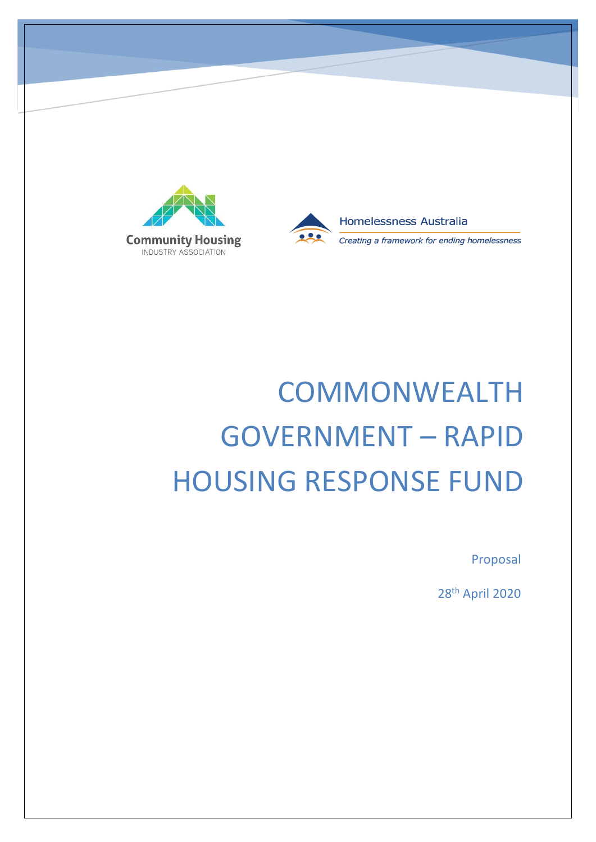



# **COMMONWEALTH** GOVERNMENT – RAPID HOUSING RESPONSE FUND

Proposal

28th April 2020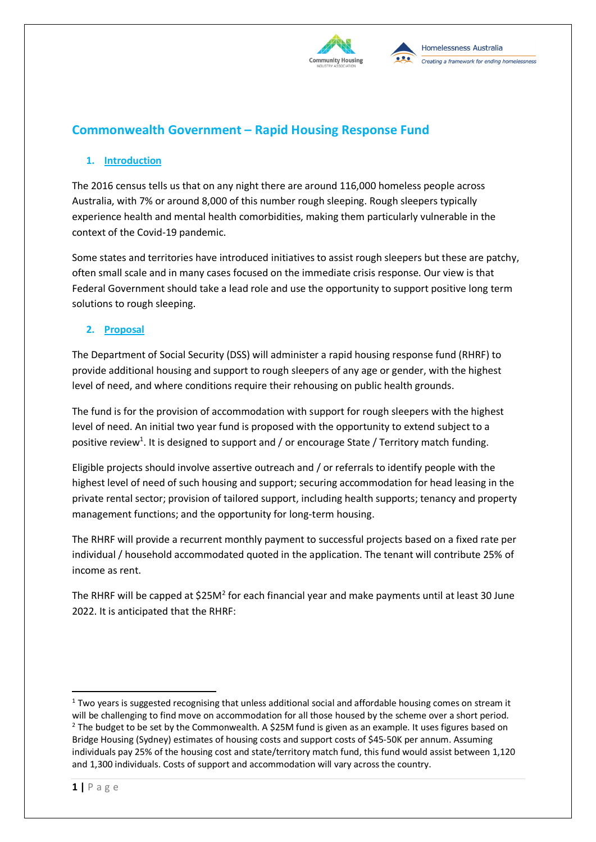

## **Commonwealth Government – Rapid Housing Response Fund**

### **1. Introduction**

The 2016 census tells us that on any night there are around 116,000 homeless people across Australia, with 7% or around 8,000 of this number rough sleeping. Rough sleepers typically experience health and mental health comorbidities, making them particularly vulnerable in the context of the Covid-19 pandemic.

Some states and territories have introduced initiatives to assist rough sleepers but these are patchy, often small scale and in many cases focused on the immediate crisis response. Our view is that Federal Government should take a lead role and use the opportunity to support positive long term solutions to rough sleeping.

#### **2. Proposal**

The Department of Social Security (DSS) will administer a rapid housing response fund (RHRF) to provide additional housing and support to rough sleepers of any age or gender, with the highest level of need, and where conditions require their rehousing on public health grounds.

The fund is for the provision of accommodation with support for rough sleepers with the highest level of need. An initial two year fund is proposed with the opportunity to extend subject to a positive review<sup>1</sup>. It is designed to support and / or encourage State / Territory match funding.

Eligible projects should involve assertive outreach and / or referrals to identify people with the highest level of need of such housing and support; securing accommodation for head leasing in the private rental sector; provision of tailored support, including health supports; tenancy and property management functions; and the opportunity for long-term housing.

The RHRF will provide a recurrent monthly payment to successful projects based on a fixed rate per individual / household accommodated quoted in the application. The tenant will contribute 25% of income as rent.

The RHRF will be capped at \$25M<sup>2</sup> for each financial year and make payments until at least 30 June 2022. It is anticipated that the RHRF:

 $1$  Two years is suggested recognising that unless additional social and affordable housing comes on stream it will be challenging to find move on accommodation for all those housed by the scheme over a short period.  $2$  The budget to be set by the Commonwealth. A \$25M fund is given as an example. It uses figures based on Bridge Housing (Sydney) estimates of housing costs and support costs of \$45-50K per annum. Assuming individuals pay 25% of the housing cost and state/territory match fund, this fund would assist between 1,120 and 1,300 individuals. Costs of support and accommodation will vary across the country.